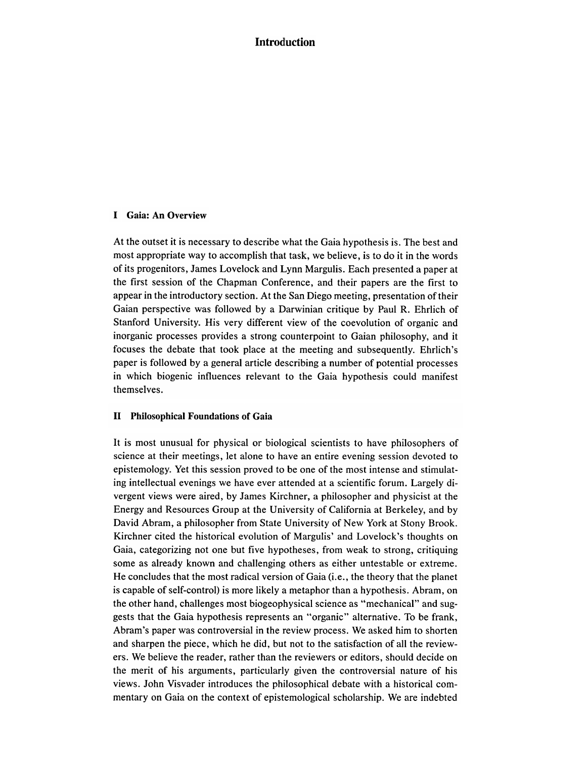# Introd luction

### I Gaia: An Overviev

At the outset it is necessary to describe what the Gaia hypothesis is. The best and most appropriate way to accomplish that task, we believe, is to do it in the words of its progenitors, James Lovelock and Lynn Margulis. Each presented a paper at the first session of the Chapman Conference , and their papers are the first to appear in the introductory section . At the San Diego meeting , presentation of their Gaian perspective was followed by a Darwinian critique by Paul R. Ehrlich of Stanford University. His very different view of the coevolution of organic and inorganic processes provides a strong counterpoint to Gaian philosophy, and it focuses the debate that took place at the meeting and subsequently. Ehrlich's paper is followed by a general article describing a number of potential processes in which biogenic influences relevant to the Gaia hypothesis could manifest themselves .

### II Philosophical Foundations of Gala

It is most unusual for physical or biological scientists to have philosophers of science at their meetings, let alone to have an entire evening session devoted to epistemology. Yet this session proved to be one of the most intense and stimulating intellectual evenings we have ever attended at a scientific forum. Largely divergent views were aired, by James Kirchner, a philosopher and physicist at the Energy and Resources Group at the University of California at Berkeley , and by David Abram, a philosopher from State University of New York at Stony Brook. Kirchner cited the historical evolution of Margulis' and Lovelock's thoughts on Gaia, categorizing not one but five hypotheses, from weak to strong, critiquing some as already known and challenging others as either untestable or extreme. He concludes that the most radical version of Gaia (i.e., the theory that the planet is capable of self-control) is more likely a metaphor than a hypothesis. Abram, on the other hand, challenges most biogeophysical science as "mechanical" and suggests that the Gaia hypothesis represents an "organic" alternative. To be frank, Abram's paper was controversial in the review process. We asked him to shorten and sharpen the piece, which he did, but not to the satisfaction of all the review-. We believe the reader , rather than the reviewers or editors , should decide on the merit of his arguments, particularly given the controversial nature of his views. John Visvader introduces the philosophical debate with a historical commentary on Gaia on the context of epistemological scholarship. We are indebted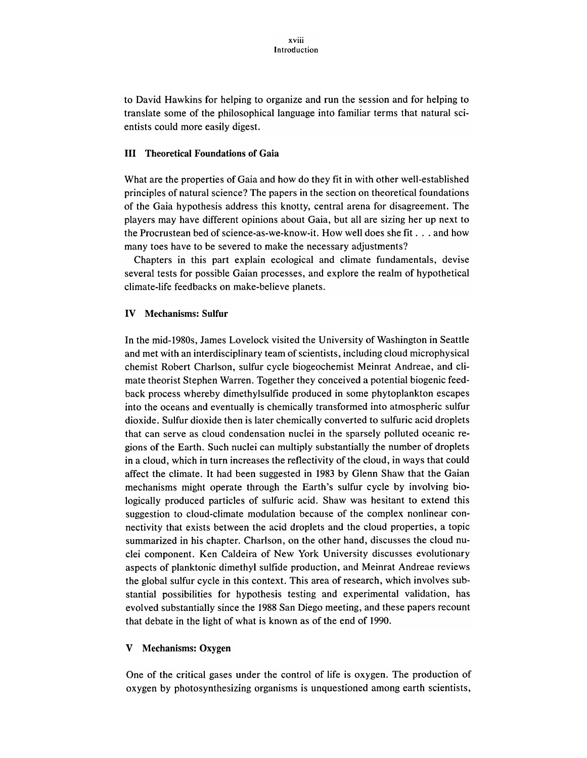to David Hawkins for helping to organize and run the session and for helping to translate some of the philosophical language into familiar terms that natural scientists could more easily digest.

### III Theoretical Foundations of Gala

What are the properties of Gaia and how do they fit in with other well-established principles of natural science ? The papers in the section on theoretical foundations of the Gala hypothesis address this knotty , central arena for disagreement . The players may have different opinions about Gala , but all are sizing her up next to the Procrustean bed of science -as-we-know -it . How well does she fit . . . and how many toes have to be severed to make the necessary adjustments ?

Chapters in this part explain ecological and climate fundamentals , devise several tests for possible Gaian processes, and explore the realm of hypothetical climate -life feedbacks on make -believe planets .

### IV Mechanisms: Sulfur

In the mid-1980s, James Lovelock visited the University of Washington in Seattle and met with an interdisciplinary team of scientists , including cloud microphysical chemist Robert Charlson, sulfur cycle biogeochemist Meinrat Andreae, and climate theorist Stephen Warren. Together they conceived a potential biogenic feedback process whereby dimethylsulfide produced in some phytoplankton escapes into the oceans and eventually is chemically transformed into atmospheric sulfur dioxide . Sulfur dioxide then is later chemically converted to sulfuric acid droplets that can serve as cloud condensation nuclei in the sparsely polluted oceanic regions of the Earth. Such nuclei can multiply substantially the number of droplets in a cloud, which in turn increases the reflectivity of the cloud, in ways that could affect the climate . It had been suggested in 1983 by Glenn Shaw that the Gaian mechanisms might operate through the Earth's sulfur cycle by involving biologically produced particles of sulfuric acid. Shaw was hesitant to extend this suggestion to cloud-climate modulation because of the complex nonlinear connectivity that exists between the acid droplets and the cloud properties, a topic summarized in his chapter. Charlson, on the other hand, discusses the cloud nuclei component. Ken Caldeira of New York University discusses evolutionary aspects of planktonic dimethyl sulfide production , and Meinrat Andreae reviews the global sulfur cycle in this context. This area of research, which involves substantial possibilities for hypothesis testing and experimental validation, has evolved substantially since the 1988 San Diego meeting , and these papers recount that debate in the light of what is known as of the end of 1990.

### V Mechanisms: Oxygen

One of the critical gases under the control of life is oxygen . The production of oxygen by photosynthesizing organisms is unquestioned among earth scientists ,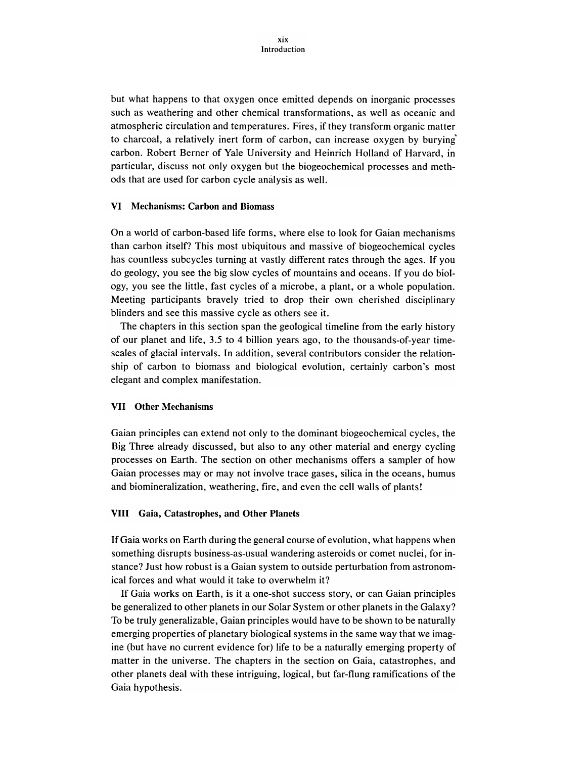but what happens to that oxygen once emitted depends on inorganic processes such as weathering and other chemical transformations, as well as oceanic and atmospheric circulation and temperatures . Fires , if they transform organic matter to charcoal, a relatively inert form of carbon, can increase oxygen by burying carbon. Robert Berner of Yale University and Heinrich Holland of Harvard, in particular, discuss not only oxygen but the biogeochemical processes and methods that are used for carbon cycle analysis as well.

# VI Mechanisms: Carbon and Biomass

On a world of carbon -based life forms , where else to look for Gaian mechanisms than carbon itself? This most ubiquitous and massive of biogeochemical cycles has countless subcycles turning at vastly different rates through the ages. If you do geology, you see the big slow cycles of mountains and oceans. If you do biology, you see the little, fast cycles of a microbe, a plant, or a whole population. Meeting participants bravely tried to drop their own cherished disciplinary blinders and see this massive cycle as others see it.

The chapters in this section span the geological timeline from the early history of our planet and life, 3.5 to 4 billion years ago, to the thousands-of-year timescales of glacial intervals. In addition, several contributors consider the relationship of carbon to biomass and biological evolution, certainly carbon's most elegant and complex manifestation.

# VII Other Mechanisms

Gaian principles can extend not only to the dominant biogeochemical cycles , the Big Three already discussed, but also to any other material and energy cycling processes on Earth. The section on other mechanisms offers a sampler of how Gaian processes may or may not involve trace gases, silica in the oceans, humus and biomineralization, weathering, fire, and even the cell walls of plants!

# VIII Gaia, Catastrophes, and Other Planets

If Gaia works on Earth during the general course of evolution, what happens when something disrupts business-as-usual wandering asteroids or comet nuclei, for instance? Just how robust is a Gaian system to outside perturbation from astronomical forces and what would it take to overwhelm it?

If Gala works on Earth , is it a one-shot success story , or can Gaian principles be generalized to other planets in our Solar System or other planets in the Galaxy ? To be truly generalizable, Gaian principles would have to be shown to be naturally emerging properties of planetary biological systems in the same way that we imagine (but have no current evidence for) life to be a naturally emerging property of matter in the universe. The chapters in the section on Gaia, catastrophes, and other planets deal with these intriguing , logical , but far -flung ramifications of the Gaia hypothesis.